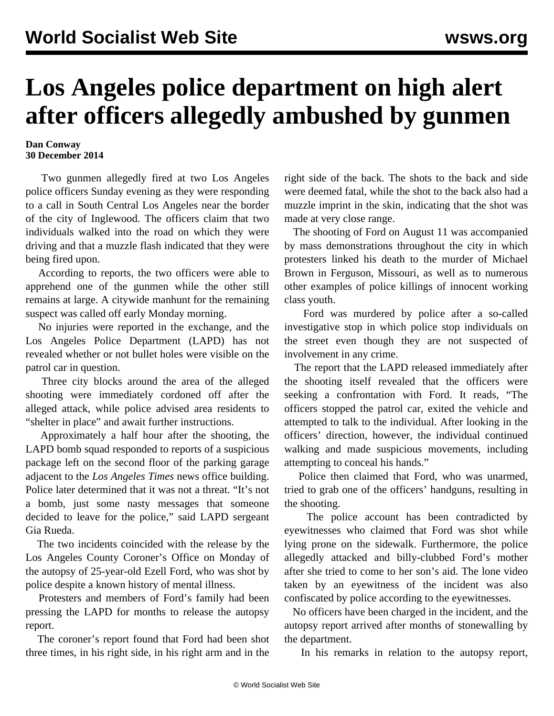## **Los Angeles police department on high alert after officers allegedly ambushed by gunmen**

## **Dan Conway 30 December 2014**

 Two gunmen allegedly fired at two Los Angeles police officers Sunday evening as they were responding to a call in South Central Los Angeles near the border of the city of Inglewood. The officers claim that two individuals walked into the road on which they were driving and that a muzzle flash indicated that they were being fired upon.

 According to reports, the two officers were able to apprehend one of the gunmen while the other still remains at large. A citywide manhunt for the remaining suspect was called off early Monday morning.

 No injuries were reported in the exchange, and the Los Angeles Police Department (LAPD) has not revealed whether or not bullet holes were visible on the patrol car in question.

 Three city blocks around the area of the alleged shooting were immediately cordoned off after the alleged attack, while police advised area residents to "shelter in place" and await further instructions.

 Approximately a half hour after the shooting, the LAPD bomb squad responded to reports of a suspicious package left on the second floor of the parking garage adjacent to the *Los Angeles Times* news office building. Police later determined that it was not a threat. "It's not a bomb, just some nasty messages that someone decided to leave for the police," said LAPD sergeant Gia Rueda.

 The two incidents coincided with the release by the Los Angeles County Coroner's Office on Monday of the autopsy of 25-year-old Ezell Ford, who was shot by police despite a known history of mental illness.

 Protesters and members of Ford's family had been pressing the LAPD for months to release the autopsy report.

 The coroner's report found that Ford had been shot three times, in his right side, in his right arm and in the right side of the back. The shots to the back and side were deemed fatal, while the shot to the back also had a muzzle imprint in the skin, indicating that the shot was made at very close range.

 The shooting of Ford on August 11 was accompanied by mass demonstrations throughout the city in which protesters linked his death to the murder of Michael Brown in Ferguson, Missouri, as well as to numerous other examples of police killings of innocent working class youth.

 Ford was murdered by police after a so-called investigative stop in which police stop individuals on the street even though they are not suspected of involvement in any crime.

 The report that the LAPD released immediately after the shooting itself revealed that the officers were seeking a confrontation with Ford. It reads, "The officers stopped the patrol car, exited the vehicle and attempted to talk to the individual. After looking in the officers' direction, however, the individual continued walking and made suspicious movements, including attempting to conceal his hands."

 Police then claimed that Ford, who was unarmed, tried to grab one of the officers' handguns, resulting in the shooting.

 The police account has been contradicted by eyewitnesses who claimed that Ford was shot while lying prone on the sidewalk. Furthermore, the police allegedly attacked and billy-clubbed Ford's mother after she tried to come to her son's aid. The lone video taken by an eyewitness of the incident was also confiscated by police according to the eyewitnesses.

 No officers have been charged in the incident, and the autopsy report arrived after months of stonewalling by the department.

In his remarks in relation to the autopsy report,